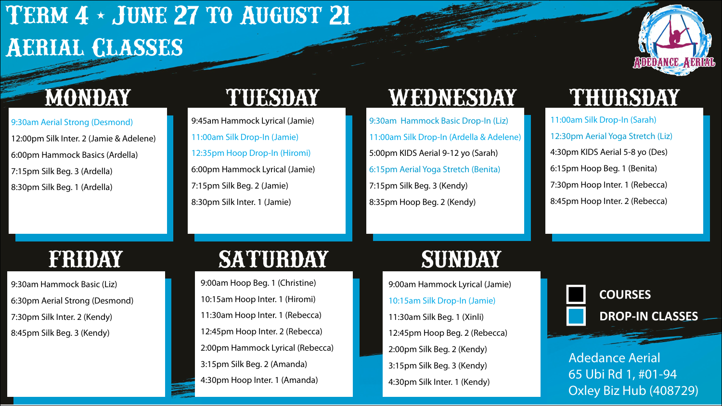## **Term 4 - June27 to August 21 Aerial Classes**

# **ADEDANCE AERIAL**

9:30am Aerial Strong (Desmond) 12:00pm Silk Inter. 2 (Jamie & Adelene) 6:00pm Hammock Basics (Ardella) 7:15pm Silk Beg. 3 (Ardella) 8:30pm Silk Beg. 1 (Ardella)

9:45am Hammock Lyrical (Jamie) 11:00am Silk Drop-In (Jamie) 12:35pm Hoop Drop-In (Hiromi) 6:00pm Hammock Lyrical (Jamie) 7:15pm Silk Beg. 2 (Jamie) 8:30pm Silk Inter. 1 (Jamie)

### **MONDAY TUESDAY WEDNESDAY THURSDAY**

9:30am Hammock Basic Drop-In (Liz) 11:00am Silk Drop-In (Ardella & Adelene) 5:00pm KIDS Aerial 9-12 yo (Sarah) 6:15pm Aerial Yoga Stretch (Benita) 7:15pm Silk Beg. 3 (Kendy) 8:35pm Hoop Beg. 2 (Kendy)

11:00am Silk Drop-In (Sarah) 12:30pm Aerial Yoga Stretch (Liz) 4:30pm KIDS Aerial 5-8 yo (Des) 6:15pm Hoop Beg. 1 (Benita) 7:30pm Hoop Inter. 1 (Rebecca) 8:45pm Hoop Inter. 2 (Rebecca)

9:30am Hammock Basic (Liz) 6:30pm Aerial Strong (Desmond) 7:30pm Silk Inter. 2 (Kendy) 8:45pm Silk Beg. 3 (Kendy)

### **FRIDAY SATURDAY SUNDAY**

9:00am Hoop Beg. 1 (Christine) 10:15am Hoop Inter. 1 (Hiromi) 11:30am Hoop Inter. 1 (Rebecca) 12:45pm Hoop Inter. 2 (Rebecca) 2:00pm Hammock Lyrical (Rebecca) 3:15pm Silk Beg. 2 (Amanda) 4:30pm Hoop Inter. 1 (Amanda)

9:00am Hammock Lyrical (Jamie) 10:15am Silk Drop-In (Jamie) 11:30am Silk Beg. 1 (Xinli) 12:45pm Hoop Beg. 2 (Rebecca) 2:00pm Silk Beg. 2 (Kendy) 3:15pm Silk Beg. 3 (Kendy) 4:30pm Silk Inter. 1 (Kendy)



Adedance Aerial 65 Ubi Rd 1, #01-94 Oxley Biz Hub (408729)